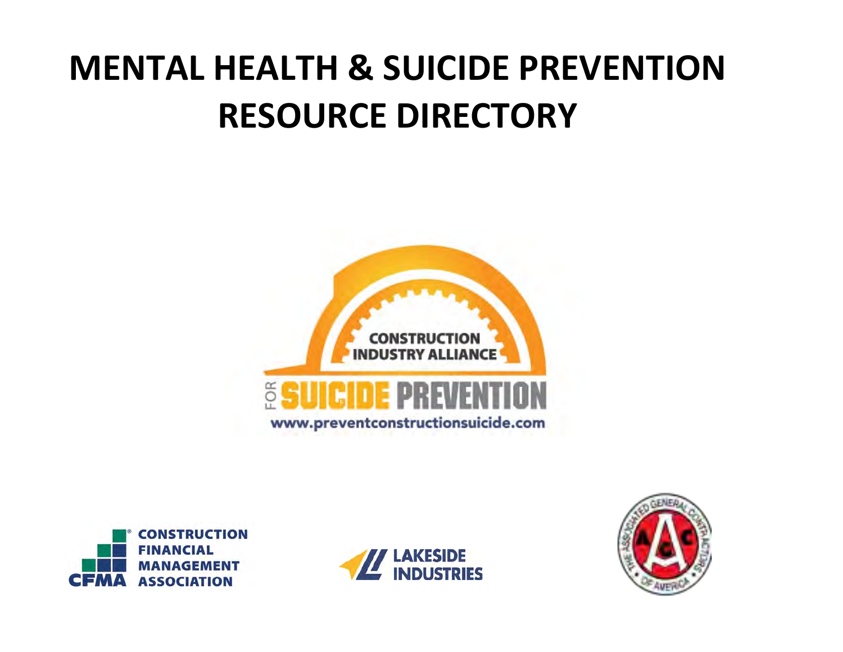# **MENTAL HEALTH & SUICIDE PREVENTION RESOURCE DIRECTORY**







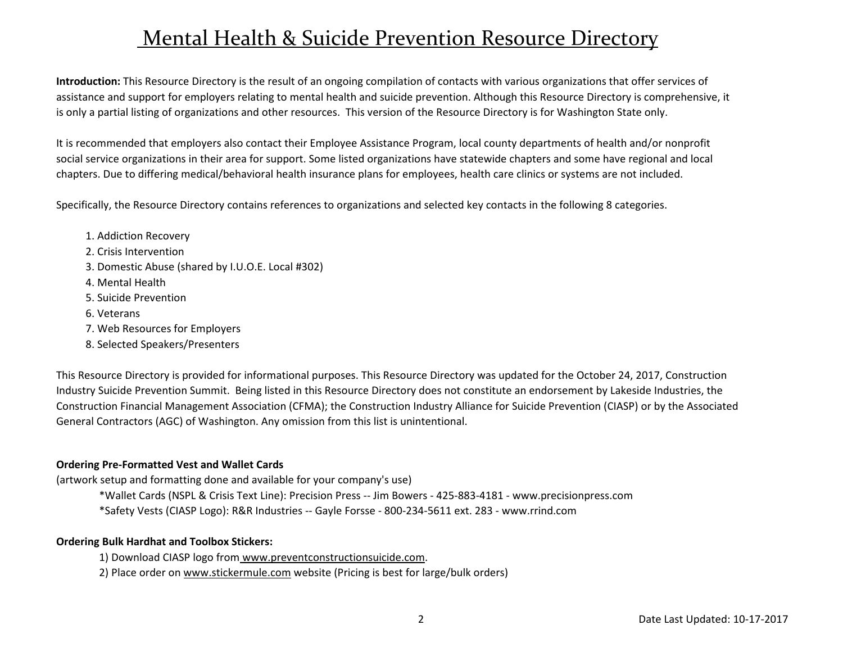### Mental Health & Suicide Prevention Resource Directory

**Introduction:** This Resource Directory is the result of an ongoing compilation of contacts with various organizations that offer services of assistance and support for employers relating to mental health and suicide prevention. Although this Resource Directory is comprehensive, it is only a partial listing of organizations and other resources. This version of the Resource Directory is for Washington State only.

It is recommended that employers also contact their Employee Assistance Program, local county departments of health and/or nonprofit social service organizations in their area for support. Some listed organizations have statewide chapters and some have regional and local chapters. Due to differing medical/behavioral health insurance plans for employees, health care clinics or systems are not included.

Specifically, the Resource Directory contains references to organizations and selected key contacts in the following 8 categories.

- 1. Addiction Recovery
- 2. Crisis Intervention
- 3. Domestic Abuse (shared by I.U.O.E. Local #302)
- 4. Mental Health
- 5. Suicide Prevention
- 6. Veterans
- 7. Web Resources for Employers
- 8. Selected Speakers/Presenters

This Resource Directory is provided for informational purposes. This Resource Directory was updated for the October 24, 2017, Construction Industry Suicide Prevention Summit. Being listed in this Resource Directory does not constitute an endorsement by Lakeside Industries, the Construction Financial Management Association (CFMA); the Construction Industry Alliance for Suicide Prevention (CIASP) or by the Associated General Contractors (AGC) of Washington. Any omission from this list is unintentional.

#### **Ordering Pre-Formatted Vest and Wallet Cards**

(artwork setup and formatting done and available for your company's use)

- \*Wallet Cards (NSPL & Crisis Text Line): Precision Press -- Jim Bowers 425-883-4181 www.precisionpress.com
- \*Safety Vests (CIASP Logo): R&R Industries -- Gayle Forsse 800-234-5611 ext. 283 www.rrind.com

#### **Ordering Bulk Hardhat and Toolbox Stickers:**

1) Download CIASP logo from www.preventconstructionsuicide.com.

2) Place order on www.stickermule.com website (Pricing is best for large/bulk orders)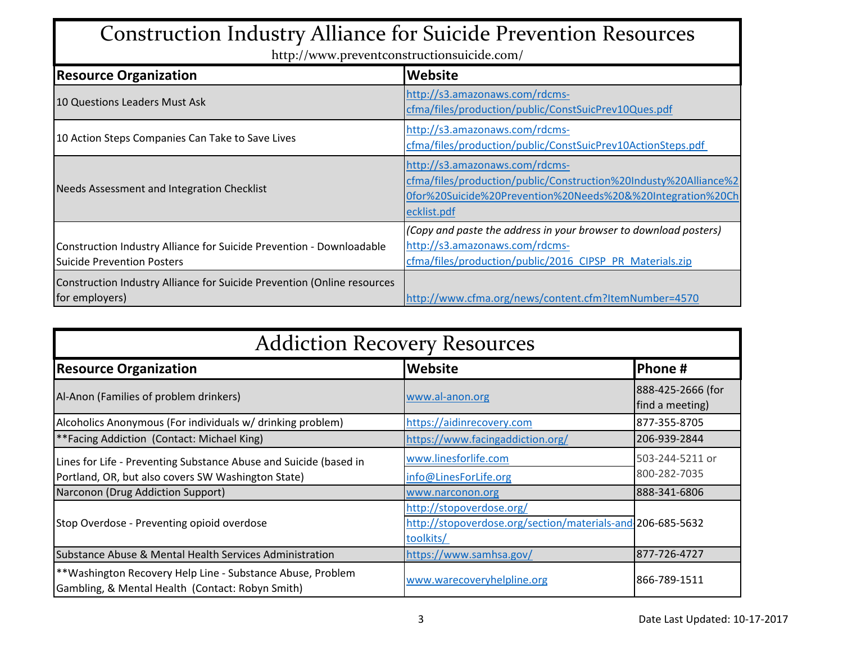## Construction Industry Alliance for Suicide Prevention Resources

http://www.preventconstructionsuicide.com/

| <b>Resource Organization</b>                                                                              | Website                                                                                                                                                                         |  |
|-----------------------------------------------------------------------------------------------------------|---------------------------------------------------------------------------------------------------------------------------------------------------------------------------------|--|
| 10 Questions Leaders Must Ask                                                                             | http://s3.amazonaws.com/rdcms-<br>cfma/files/production/public/ConstSuicPrev10Ques.pdf                                                                                          |  |
| 10 Action Steps Companies Can Take to Save Lives                                                          | http://s3.amazonaws.com/rdcms-<br>cfma/files/production/public/ConstSuicPrev10ActionSteps.pdf                                                                                   |  |
| Needs Assessment and Integration Checklist                                                                | http://s3.amazonaws.com/rdcms-<br>cfma/files/production/public/Construction%20Industy%20Alliance%2<br>0for%20Suicide%20Prevention%20Needs%20&%20Integration%20Ch<br>ecklist.pdf |  |
| Construction Industry Alliance for Suicide Prevention - Downloadable<br><b>Suicide Prevention Posters</b> | (Copy and paste the address in your browser to download posters)<br>http://s3.amazonaws.com/rdcms-<br>cfma/files/production/public/2016_CIPSP_PR_Materials.zip                  |  |
| Construction Industry Alliance for Suicide Prevention (Online resources<br>for employers)                 | http://www.cfma.org/news/content.cfm?ItemNumber=4570                                                                                                                            |  |

| <b>Addiction Recovery Resources</b>                                                                                     |                                                                                                     |                                      |  |
|-------------------------------------------------------------------------------------------------------------------------|-----------------------------------------------------------------------------------------------------|--------------------------------------|--|
| <b>Resource Organization</b>                                                                                            | Phone #                                                                                             |                                      |  |
| Al-Anon (Families of problem drinkers)                                                                                  | www.al-anon.org                                                                                     | 888-425-2666 (for<br>find a meeting) |  |
| Alcoholics Anonymous (For individuals w/ drinking problem)                                                              | https://aidinrecovery.com                                                                           | 877-355-8705                         |  |
| <b>**Facing Addiction (Contact: Michael King)</b>                                                                       | https://www.facingaddiction.org/                                                                    | 206-939-2844                         |  |
| Lines for Life - Preventing Substance Abuse and Suicide (based in<br>Portland, OR, but also covers SW Washington State) | www.linesforlife.com<br>info@LinesForLife.org                                                       | 503-244-5211 or<br>800-282-7035      |  |
| Narconon (Drug Addiction Support)                                                                                       | www.narconon.org                                                                                    | 888-341-6806                         |  |
| Stop Overdose - Preventing opioid overdose                                                                              | http://stopoverdose.org/<br>http://stopoverdose.org/section/materials-and-206-685-5632<br>toolkits/ |                                      |  |
| Substance Abuse & Mental Health Services Administration                                                                 | https://www.samhsa.gov/                                                                             | 877-726-4727                         |  |
| **Washington Recovery Help Line - Substance Abuse, Problem<br>Gambling, & Mental Health (Contact: Robyn Smith)          | www.warecoveryhelpline.org                                                                          | 866-789-1511                         |  |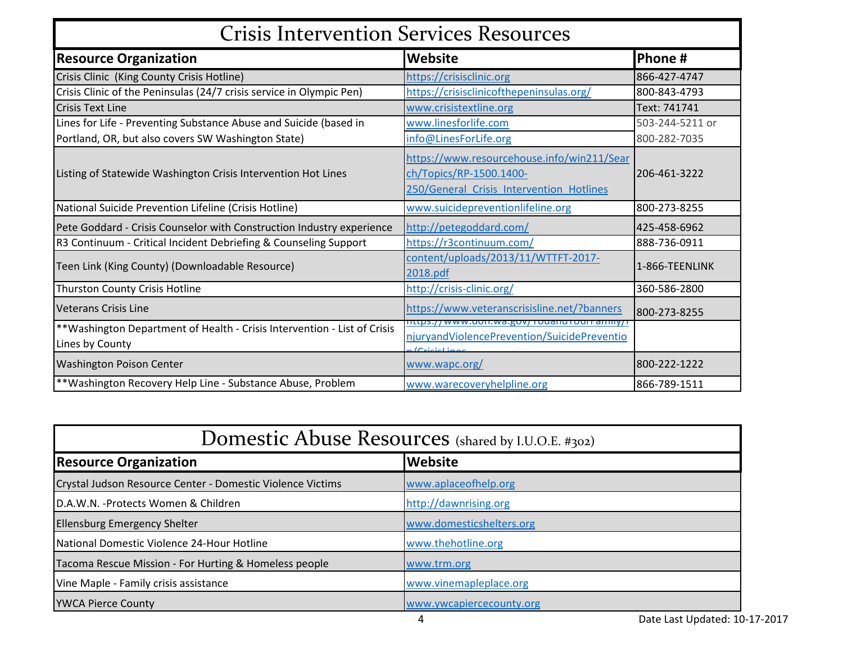| <b>Crisis Intervention Services Resources</b>                                                |                                                                                                                   |                 |  |
|----------------------------------------------------------------------------------------------|-------------------------------------------------------------------------------------------------------------------|-----------------|--|
| <b>Resource Organization</b>                                                                 | <b>Website</b>                                                                                                    | Phone #         |  |
| Crisis Clinic (King County Crisis Hotline)                                                   | https://crisisclinic.org                                                                                          | 866-427-4747    |  |
| Crisis Clinic of the Peninsulas (24/7 crisis service in Olympic Pen)                         | https://crisisclinicofthepeninsulas.org/                                                                          | 800-843-4793    |  |
| <b>Crisis Text Line</b>                                                                      | www.crisistextline.org                                                                                            | Text: 741741    |  |
| Lines for Life - Preventing Substance Abuse and Suicide (based in                            | www.linesforlife.com                                                                                              | 503-244-5211 or |  |
| Portland, OR, but also covers SW Washington State)                                           | info@LinesForLife.org                                                                                             | 800-282-7035    |  |
| Listing of Statewide Washington Crisis Intervention Hot Lines                                | https://www.resourcehouse.info/win211/Sear<br>ch/Topics/RP-1500.1400-<br>250/General Crisis Intervention Hotlines | 206-461-3222    |  |
| National Suicide Prevention Lifeline (Crisis Hotline)                                        | www.suicidepreventionlifeline.org                                                                                 | 800-273-8255    |  |
| Pete Goddard - Crisis Counselor with Construction Industry experience                        | http://petegoddard.com/                                                                                           | 425-458-6962    |  |
| R3 Continuum - Critical Incident Debriefing & Counseling Support                             | https://r3continuum.com/                                                                                          | 888-736-0911    |  |
| Teen Link (King County) (Downloadable Resource)                                              | content/uploads/2013/11/WTTFT-2017-<br>2018.pdf                                                                   | 1-866-TEENLINK  |  |
| Thurston County Crisis Hotline                                                               | http://crisis-clinic.org/                                                                                         | 360-586-2800    |  |
| <b>Veterans Crisis Line</b>                                                                  | https://www.veteranscrisisline.net/?banners                                                                       | 800-273-8255    |  |
| ** Washington Department of Health - Crisis Intervention - List of Crisis<br>Lines by County | <u>nttps.//www.uon.wa.gov/ rouanu rourranniy/i</u><br>njuryandViolencePrevention/SuicidePreventio                 |                 |  |
| <b>Washington Poison Center</b>                                                              | www.wapc.org/                                                                                                     | 800-222-1222    |  |
| **Washington Recovery Help Line - Substance Abuse, Problem                                   | www.warecoveryhelpline.org                                                                                        | 866-789-1511    |  |

| Domestic Abuse Resources (shared by I.U.O.E. #302)         |                          |  |
|------------------------------------------------------------|--------------------------|--|
| <b>Resource Organization</b>                               | <b>Website</b>           |  |
| Crystal Judson Resource Center - Domestic Violence Victims | www.aplaceofhelp.org     |  |
| D.A.W.N. - Protects Women & Children                       | http://dawnrising.org    |  |
| <b>Ellensburg Emergency Shelter</b>                        | www.domesticshelters.org |  |
| National Domestic Violence 24-Hour Hotline                 | www.thehotline.org       |  |
| Tacoma Rescue Mission - For Hurting & Homeless people      | www.trm.org              |  |
| Vine Maple - Family crisis assistance                      | www.vinemapleplace.org   |  |
| <b>YWCA Pierce County</b>                                  | www.ywcapiercecounty.org |  |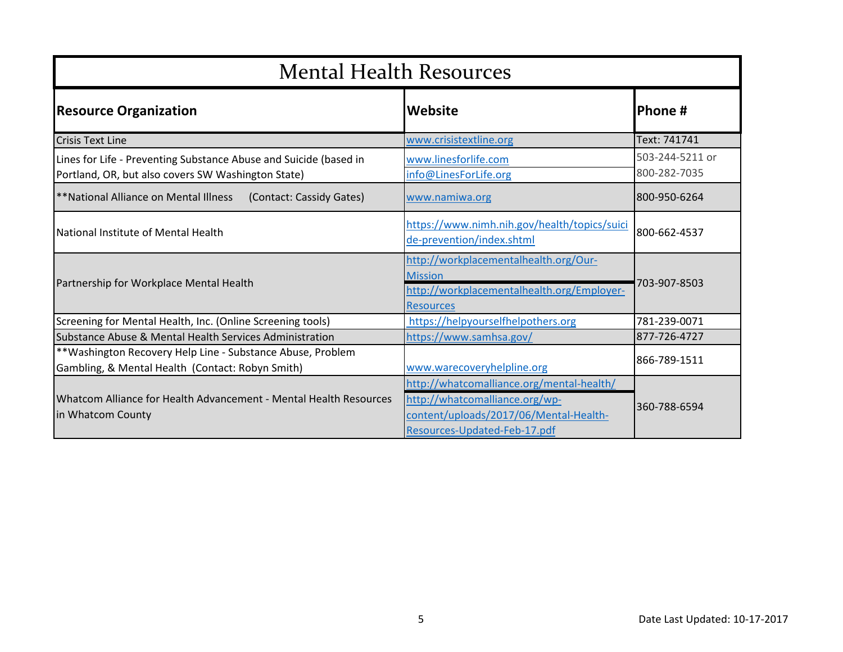| <b>Mental Health Resources</b>                                                                                          |                                                                                                                                                       |                                 |
|-------------------------------------------------------------------------------------------------------------------------|-------------------------------------------------------------------------------------------------------------------------------------------------------|---------------------------------|
| <b>Resource Organization</b>                                                                                            | <b>Website</b>                                                                                                                                        | <b>Phone #</b>                  |
| <b>Crisis Text Line</b>                                                                                                 | www.crisistextline.org                                                                                                                                | Text: 741741                    |
| Lines for Life - Preventing Substance Abuse and Suicide (based in<br>Portland, OR, but also covers SW Washington State) | www.linesforlife.com<br>info@LinesForLife.org                                                                                                         | 503-244-5211 or<br>800-282-7035 |
| **National Alliance on Mental Illness<br>(Contact: Cassidy Gates)                                                       | www.namiwa.org                                                                                                                                        | 800-950-6264                    |
| National Institute of Mental Health                                                                                     | https://www.nimh.nih.gov/health/topics/suici<br>de-prevention/index.shtml                                                                             | 800-662-4537                    |
| Partnership for Workplace Mental Health                                                                                 | http://workplacementalhealth.org/Our-<br><b>Mission</b><br>http://workplacementalhealth.org/Employer-<br><b>Resources</b>                             | 703-907-8503                    |
| Screening for Mental Health, Inc. (Online Screening tools)                                                              | https://helpyourselfhelpothers.org                                                                                                                    | 781-239-0071                    |
| Substance Abuse & Mental Health Services Administration                                                                 | https://www.samhsa.gov/                                                                                                                               | 877-726-4727                    |
| ** Washington Recovery Help Line - Substance Abuse, Problem<br>Gambling, & Mental Health (Contact: Robyn Smith)         | www.warecoveryhelpline.org                                                                                                                            | 866-789-1511                    |
| Whatcom Alliance for Health Advancement - Mental Health Resources<br>in Whatcom County                                  | http://whatcomalliance.org/mental-health/<br>http://whatcomalliance.org/wp-<br>content/uploads/2017/06/Mental-Health-<br>Resources-Updated-Feb-17.pdf | 360-788-6594                    |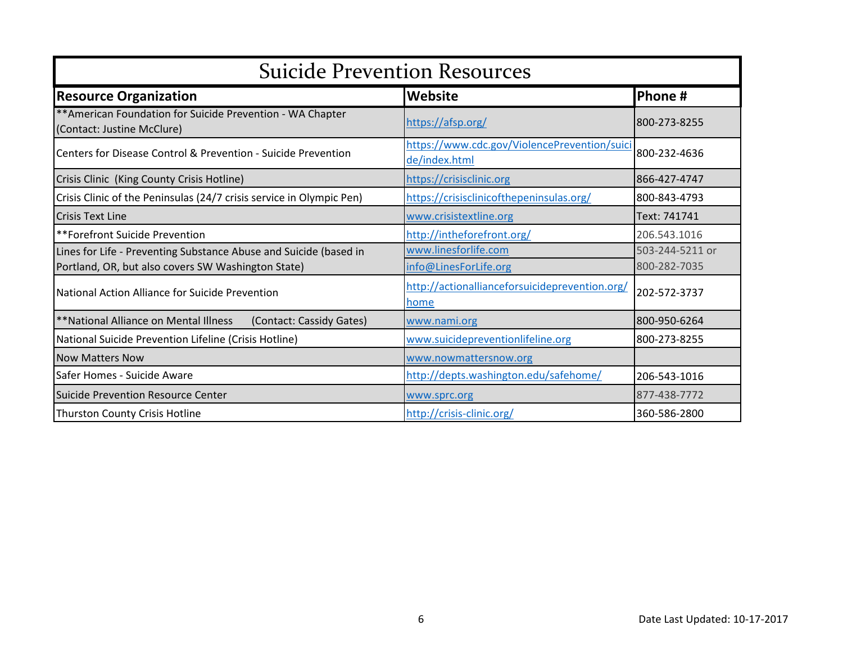| <b>Suicide Prevention Resources</b>                                                                                     |                                                               |                                 |  |
|-------------------------------------------------------------------------------------------------------------------------|---------------------------------------------------------------|---------------------------------|--|
| <b>Resource Organization</b>                                                                                            | <b>Website</b>                                                | Phone #                         |  |
| ** American Foundation for Suicide Prevention - WA Chapter<br>(Contact: Justine McClure)                                | https://afsp.org/                                             | 800-273-8255                    |  |
| Centers for Disease Control & Prevention - Suicide Prevention                                                           | https://www.cdc.gov/ViolencePrevention/suici<br>de/index.html | 800-232-4636                    |  |
| Crisis Clinic (King County Crisis Hotline)                                                                              | https://crisisclinic.org                                      | 866-427-4747                    |  |
| Crisis Clinic of the Peninsulas (24/7 crisis service in Olympic Pen)                                                    | https://crisisclinicofthepeninsulas.org/                      | 800-843-4793                    |  |
| lCrisis Text Line                                                                                                       | www.crisistextline.org                                        | Text: 741741                    |  |
| **Forefront Suicide Prevention                                                                                          | http://intheforefront.org/                                    | 206.543.1016                    |  |
| Lines for Life - Preventing Substance Abuse and Suicide (based in<br>Portland, OR, but also covers SW Washington State) | www.linesforlife.com<br>info@LinesForLife.org                 | 503-244-5211 or<br>800-282-7035 |  |
| National Action Alliance for Suicide Prevention                                                                         | http://actionallianceforsuicideprevention.org/<br>home        | 202-572-3737                    |  |
| **National Alliance on Mental Illness<br>(Contact: Cassidy Gates)                                                       | www.nami.org                                                  | 800-950-6264                    |  |
| National Suicide Prevention Lifeline (Crisis Hotline)                                                                   | www.suicidepreventionlifeline.org                             | 800-273-8255                    |  |
| <b>Now Matters Now</b>                                                                                                  | www.nowmattersnow.org                                         |                                 |  |
| Safer Homes - Suicide Aware                                                                                             | http://depts.washington.edu/safehome/                         | 206-543-1016                    |  |
| Suicide Prevention Resource Center                                                                                      | www.sprc.org                                                  | 877-438-7772                    |  |
| Thurston County Crisis Hotline                                                                                          | http://crisis-clinic.org/                                     | 360-586-2800                    |  |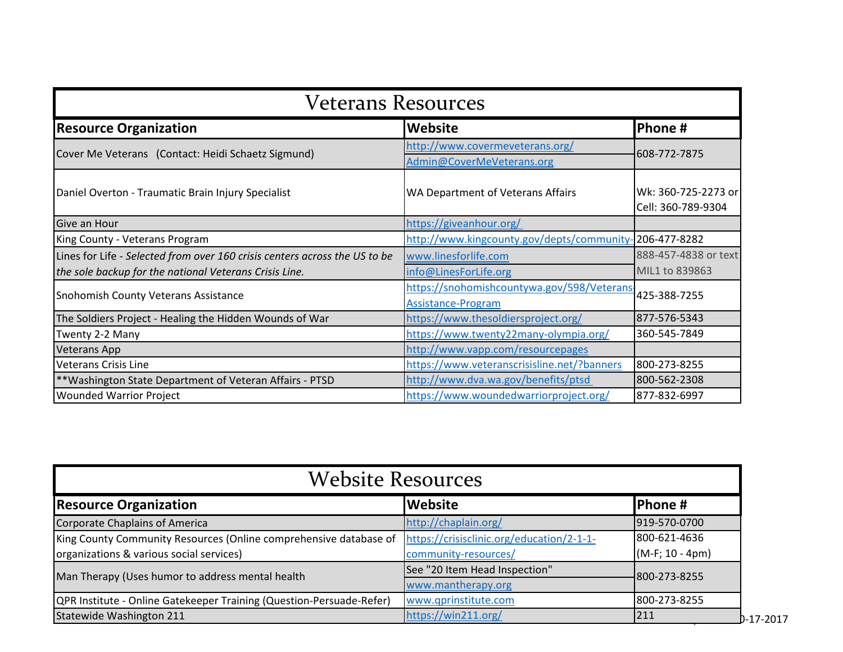| Veterans Resources                                                         |                                                                          |                                           |  |
|----------------------------------------------------------------------------|--------------------------------------------------------------------------|-------------------------------------------|--|
| <b>Resource Organization</b>                                               | Phone#                                                                   |                                           |  |
| Cover Me Veterans (Contact: Heidi Schaetz Sigmund)                         | http://www.covermeveterans.org/<br>Admin@CoverMeVeterans.org             | 608-772-7875                              |  |
| Daniel Overton - Traumatic Brain Injury Specialist                         | WA Department of Veterans Affairs                                        | Wk: 360-725-2273 or<br>Cell: 360-789-9304 |  |
| Give an Hour                                                               | https://giveanhour.org/                                                  |                                           |  |
| King County - Veterans Program                                             | http://www.kingcounty.gov/depts/community-206-477-8282                   |                                           |  |
| Lines for Life - Selected from over 160 crisis centers across the US to be | www.linesforlife.com                                                     | 888-457-4838 or text                      |  |
| the sole backup for the national Veterans Crisis Line.                     | info@LinesForLife.org                                                    | MIL1 to 839863                            |  |
| <b>Snohomish County Veterans Assistance</b>                                | https://snohomishcountywa.gov/598/Veterans-<br><b>Assistance-Program</b> | 425-388-7255                              |  |
| The Soldiers Project - Healing the Hidden Wounds of War                    | https://www.thesoldiersproject.org/                                      | 877-576-5343                              |  |
| Twenty 2-2 Many                                                            | https://www.twenty22many-olympia.org/                                    | 360-545-7849                              |  |
| <b>Veterans App</b>                                                        | http://www.vapp.com/resourcepages                                        |                                           |  |
| <b>Veterans Crisis Line</b>                                                | https://www.veteranscrisisline.net/?banners                              | 800-273-8255                              |  |
| **Washington State Department of Veteran Affairs - PTSD                    | http://www.dva.wa.gov/benefits/ptsd                                      | 800-562-2308                              |  |
| <b>Wounded Warrior Project</b>                                             | https://www.woundedwarriorproject.org/                                   | 877-832-6997                              |  |

| <b>Website Resources</b>                                             |                                           |                   |             |
|----------------------------------------------------------------------|-------------------------------------------|-------------------|-------------|
| <b>Resource Organization</b>                                         | <b>Website</b>                            | <b>Phone#</b>     |             |
| Corporate Chaplains of America                                       | http://chaplain.org/                      | 919-570-0700      |             |
| King County Community Resources (Online comprehensive database of    | https://crisisclinic.org/education/2-1-1- | 800-621-4636      |             |
| organizations & various social services)                             | community-resources/                      | $(M-F; 10 - 4pm)$ |             |
| Man Therapy (Uses humor to address mental health                     | See "20 Item Head Inspection"             | 800-273-8255      |             |
|                                                                      | www.mantherapy.org                        |                   |             |
| QPR Institute - Online Gatekeeper Training (Question-Persuade-Refer) | www.qprinstitute.com                      | 800-273-8255      |             |
| Statewide Washington 211                                             | https://win211.org/                       | 211               | $D-17-2017$ |